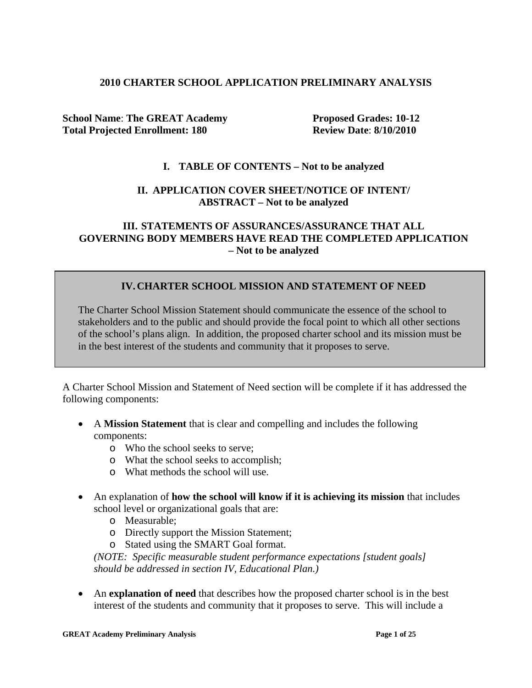#### **2010 CHARTER SCHOOL APPLICATION PRELIMINARY ANALYSIS**

**School Name: The GREAT Academy Proposed Grades: 10-12 Total Projected Enrollment: 180 Review Date**: **8/10/2010**

### **I. TABLE OF CONTENTS – Not to be analyzed**

### **II. APPLICATION COVER SHEET/NOTICE OF INTENT/ ABSTRACT – Not to be analyzed**

### **III. STATEMENTS OF ASSURANCES/ASSURANCE THAT ALL GOVERNING BODY MEMBERS HAVE READ THE COMPLETED APPLICATION – Not to be analyzed**

# **IV.CHARTER SCHOOL MISSION AND STATEMENT OF NEED**

The Charter School Mission Statement should communicate the essence of the school to stakeholders and to the public and should provide the focal point to which all other sections of the school's plans align. In addition, the proposed charter school and its mission must be in the best interest of the students and community that it proposes to serve.

A Charter School Mission and Statement of Need section will be complete if it has addressed the following components:

- A **Mission Statement** that is clear and compelling and includes the following components:
	- o Who the school seeks to serve;
	- o What the school seeks to accomplish;
	- o What methods the school will use.
- An explanation of **how the school will know if it is achieving its mission** that includes school level or organizational goals that are:
	- o Measurable;
	- o Directly support the Mission Statement;
	- o Stated using the SMART Goal format.

*(NOTE: Specific measurable student performance expectations [student goals] should be addressed in section IV, Educational Plan.)*

• An **explanation of need** that describes how the proposed charter school is in the best interest of the students and community that it proposes to serve. This will include a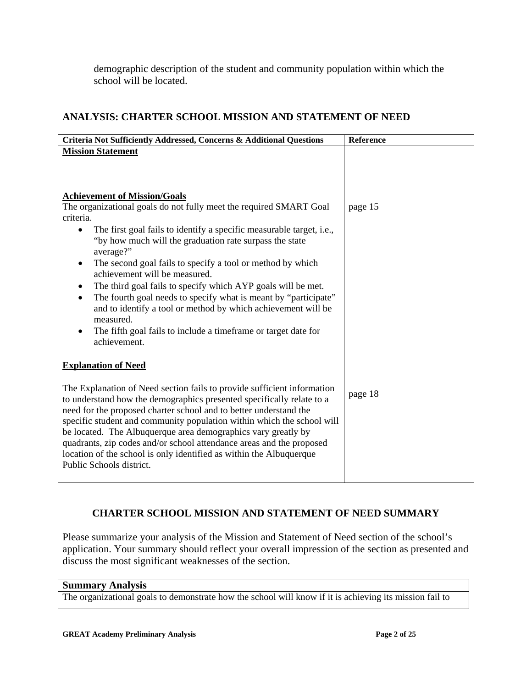demographic description of the student and community population within which the school will be located.

# **ANALYSIS: CHARTER SCHOOL MISSION AND STATEMENT OF NEED**

| Criteria Not Sufficiently Addressed, Concerns & Additional Questions                                                                                                                                                                                                                                                                                                                                                                                                                                                                                                                                                                                                                       | Reference |
|--------------------------------------------------------------------------------------------------------------------------------------------------------------------------------------------------------------------------------------------------------------------------------------------------------------------------------------------------------------------------------------------------------------------------------------------------------------------------------------------------------------------------------------------------------------------------------------------------------------------------------------------------------------------------------------------|-----------|
| <b>Mission Statement</b>                                                                                                                                                                                                                                                                                                                                                                                                                                                                                                                                                                                                                                                                   |           |
| <b>Achievement of Mission/Goals</b><br>The organizational goals do not fully meet the required SMART Goal<br>criteria.<br>The first goal fails to identify a specific measurable target, i.e.,<br>"by how much will the graduation rate surpass the state<br>average?"<br>The second goal fails to specify a tool or method by which<br>٠<br>achievement will be measured.<br>The third goal fails to specify which AYP goals will be met.<br>The fourth goal needs to specify what is meant by "participate"<br>$\bullet$<br>and to identify a tool or method by which achievement will be<br>measured.<br>The fifth goal fails to include a timeframe or target date for<br>achievement. | page 15   |
| <b>Explanation of Need</b>                                                                                                                                                                                                                                                                                                                                                                                                                                                                                                                                                                                                                                                                 |           |
| The Explanation of Need section fails to provide sufficient information<br>to understand how the demographics presented specifically relate to a<br>need for the proposed charter school and to better understand the<br>specific student and community population within which the school will<br>be located. The Albuquerque area demographics vary greatly by<br>quadrants, zip codes and/or school attendance areas and the proposed<br>location of the school is only identified as within the Albuquerque<br>Public Schools district.                                                                                                                                                | page 18   |

# **CHARTER SCHOOL MISSION AND STATEMENT OF NEED SUMMARY**

Please summarize your analysis of the Mission and Statement of Need section of the school's application. Your summary should reflect your overall impression of the section as presented and discuss the most significant weaknesses of the section.

#### **Summary Analysis**

The organizational goals to demonstrate how the school will know if it is achieving its mission fail to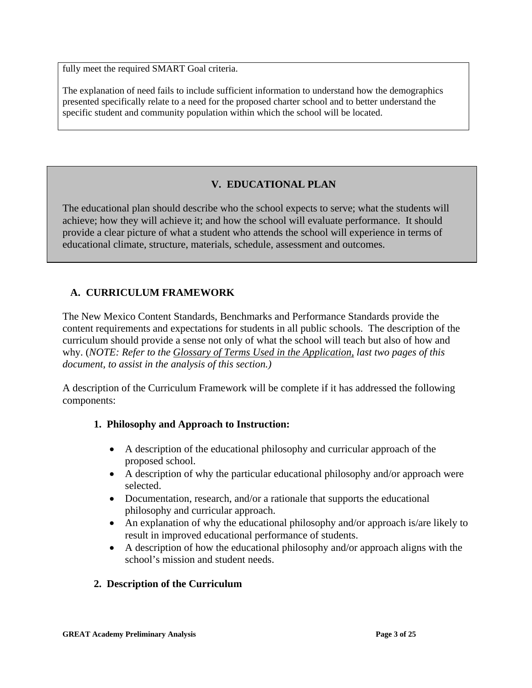fully meet the required SMART Goal criteria.

The explanation of need fails to include sufficient information to understand how the demographics presented specifically relate to a need for the proposed charter school and to better understand the specific student and community population within which the school will be located.

# **V. EDUCATIONAL PLAN**

The educational plan should describe who the school expects to serve; what the students will achieve; how they will achieve it; and how the school will evaluate performance. It should provide a clear picture of what a student who attends the school will experience in terms of educational climate, structure, materials, schedule, assessment and outcomes.

# **A. CURRICULUM FRAMEWORK**

The New Mexico Content Standards, Benchmarks and Performance Standards provide the content requirements and expectations for students in all public schools. The description of the curriculum should provide a sense not only of what the school will teach but also of how and why. (*NOTE: Refer to the Glossary of Terms Used in the Application, last two pages of this document, to assist in the analysis of this section.)*

A description of the Curriculum Framework will be complete if it has addressed the following components:

### **1. Philosophy and Approach to Instruction:**

- A description of the educational philosophy and curricular approach of the proposed school.
- A description of why the particular educational philosophy and/or approach were selected.
- Documentation, research, and/or a rationale that supports the educational philosophy and curricular approach.
- An explanation of why the educational philosophy and/or approach is/are likely to result in improved educational performance of students.
- A description of how the educational philosophy and/or approach aligns with the school's mission and student needs.

### **2. Description of the Curriculum**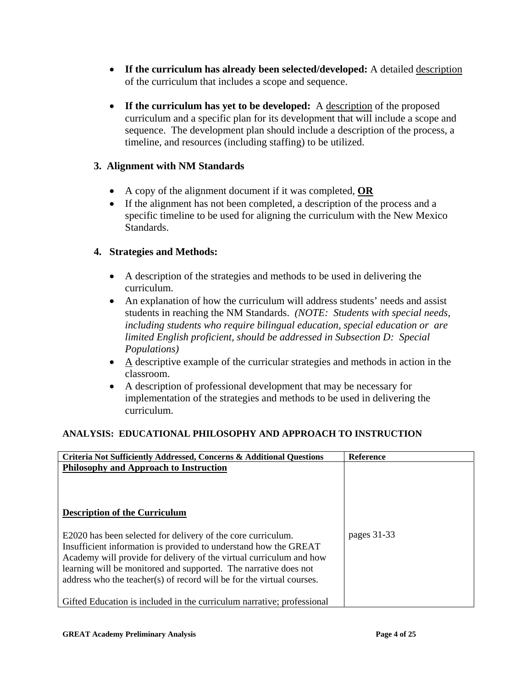- **If the curriculum has already been selected/developed:** A detailed description of the curriculum that includes a scope and sequence.
- **If the curriculum has yet to be developed:** A description of the proposed curriculum and a specific plan for its development that will include a scope and sequence. The development plan should include a description of the process, a timeline, and resources (including staffing) to be utilized.

# **3. Alignment with NM Standards**

- A copy of the alignment document if it was completed, **OR**
- If the alignment has not been completed, a description of the process and a specific timeline to be used for aligning the curriculum with the New Mexico Standards.

# **4. Strategies and Methods:**

- A description of the strategies and methods to be used in delivering the curriculum.
- An explanation of how the curriculum will address students' needs and assist students in reaching the NM Standards. *(NOTE: Students with special needs, including students who require bilingual education, special education or are limited English proficient, should be addressed in Subsection D: Special Populations)*
- A descriptive example of the curricular strategies and methods in action in the classroom.
- A description of professional development that may be necessary for implementation of the strategies and methods to be used in delivering the curriculum.

### **ANALYSIS: EDUCATIONAL PHILOSOPHY AND APPROACH TO INSTRUCTION**

| Criteria Not Sufficiently Addressed, Concerns & Additional Questions                                                                                                                                                                                                                                                                                 | <b>Reference</b> |
|------------------------------------------------------------------------------------------------------------------------------------------------------------------------------------------------------------------------------------------------------------------------------------------------------------------------------------------------------|------------------|
| Philosophy and Approach to Instruction<br><b>Description of the Curriculum</b>                                                                                                                                                                                                                                                                       |                  |
| E2020 has been selected for delivery of the core curriculum.<br>Insufficient information is provided to understand how the GREAT<br>Academy will provide for delivery of the virtual curriculum and how<br>learning will be monitored and supported. The narrative does not<br>address who the teacher(s) of record will be for the virtual courses. | pages 31-33      |
| Gifted Education is included in the curriculum narrative; professional                                                                                                                                                                                                                                                                               |                  |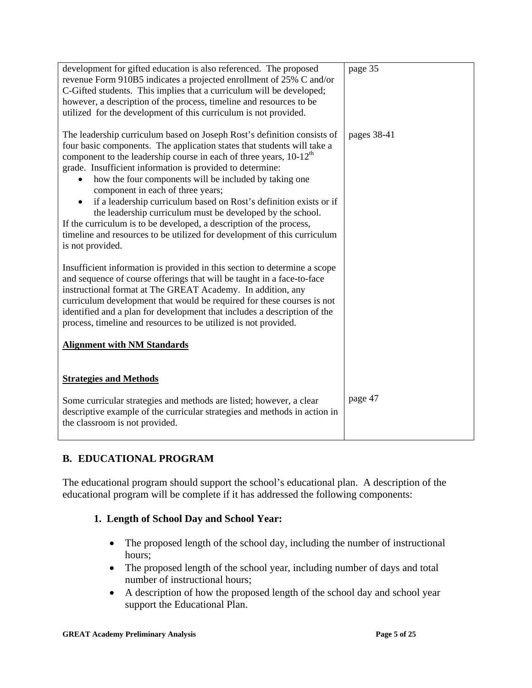| development for gifted education is also referenced. The proposed<br>revenue Form 910B5 indicates a projected enrollment of 25% C and/or<br>C-Gifted students. This implies that a curriculum will be developed;                                                                                                                                                                                                                                                                                                           | page 35     |
|----------------------------------------------------------------------------------------------------------------------------------------------------------------------------------------------------------------------------------------------------------------------------------------------------------------------------------------------------------------------------------------------------------------------------------------------------------------------------------------------------------------------------|-------------|
| however, a description of the process, timeline and resources to be<br>utilized for the development of this curriculum is not provided.                                                                                                                                                                                                                                                                                                                                                                                    |             |
| The leadership curriculum based on Joseph Rost's definition consists of<br>four basic components. The application states that students will take a<br>component to the leadership course in each of three years, $10-12th$<br>grade. Insufficient information is provided to determine:<br>how the four components will be included by taking one<br>component in each of three years;<br>if a leadership curriculum based on Rost's definition exists or if<br>the leadership curriculum must be developed by the school. | pages 38-41 |
| If the curriculum is to be developed, a description of the process,<br>timeline and resources to be utilized for development of this curriculum<br>is not provided.                                                                                                                                                                                                                                                                                                                                                        |             |
| Insufficient information is provided in this section to determine a scope<br>and sequence of course offerings that will be taught in a face-to-face<br>instructional format at The GREAT Academy. In addition, any<br>curriculum development that would be required for these courses is not<br>identified and a plan for development that includes a description of the<br>process, timeline and resources to be utilized is not provided.                                                                                |             |
| <b>Alignment with NM Standards</b>                                                                                                                                                                                                                                                                                                                                                                                                                                                                                         |             |
| <b>Strategies and Methods</b>                                                                                                                                                                                                                                                                                                                                                                                                                                                                                              |             |
| Some curricular strategies and methods are listed; however, a clear<br>descriptive example of the curricular strategies and methods in action in<br>the classroom is not provided.                                                                                                                                                                                                                                                                                                                                         | page 47     |

# **B. EDUCATIONAL PROGRAM**

The educational program should support the school's educational plan. A description of the educational program will be complete if it has addressed the following components:

### **1. Length of School Day and School Year:**

- The proposed length of the school day, including the number of instructional hours;
- The proposed length of the school year, including number of days and total number of instructional hours;
- A description of how the proposed length of the school day and school year support the Educational Plan.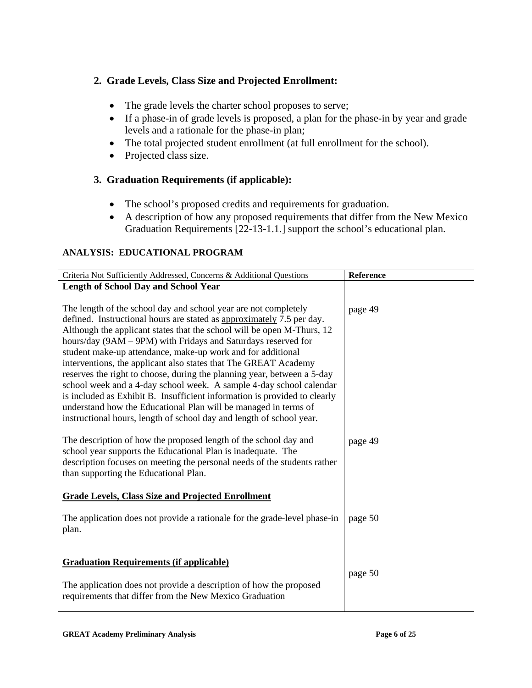# **2. Grade Levels, Class Size and Projected Enrollment:**

- The grade levels the charter school proposes to serve;
- If a phase-in of grade levels is proposed, a plan for the phase-in by year and grade levels and a rationale for the phase-in plan;
- The total projected student enrollment (at full enrollment for the school).
- Projected class size.

# **3. Graduation Requirements (if applicable):**

- The school's proposed credits and requirements for graduation.
- A description of how any proposed requirements that differ from the New Mexico Graduation Requirements [22-13-1.1.] support the school's educational plan.

### **ANALYSIS: EDUCATIONAL PROGRAM**

| Criteria Not Sufficiently Addressed, Concerns & Additional Questions                                                                                                                                                                                                                                                                                                                                                                                                                                                                                                                                                                                                                                                                                                                            | Reference |
|-------------------------------------------------------------------------------------------------------------------------------------------------------------------------------------------------------------------------------------------------------------------------------------------------------------------------------------------------------------------------------------------------------------------------------------------------------------------------------------------------------------------------------------------------------------------------------------------------------------------------------------------------------------------------------------------------------------------------------------------------------------------------------------------------|-----------|
| <b>Length of School Day and School Year</b>                                                                                                                                                                                                                                                                                                                                                                                                                                                                                                                                                                                                                                                                                                                                                     |           |
| The length of the school day and school year are not completely<br>defined. Instructional hours are stated as approximately 7.5 per day.<br>Although the applicant states that the school will be open M-Thurs, 12<br>hours/day (9AM - 9PM) with Fridays and Saturdays reserved for<br>student make-up attendance, make-up work and for additional<br>interventions, the applicant also states that The GREAT Academy<br>reserves the right to choose, during the planning year, between a 5-day<br>school week and a 4-day school week. A sample 4-day school calendar<br>is included as Exhibit B. Insufficient information is provided to clearly<br>understand how the Educational Plan will be managed in terms of<br>instructional hours, length of school day and length of school year. | page 49   |
| The description of how the proposed length of the school day and<br>school year supports the Educational Plan is inadequate. The<br>description focuses on meeting the personal needs of the students rather<br>than supporting the Educational Plan.                                                                                                                                                                                                                                                                                                                                                                                                                                                                                                                                           | page 49   |
| <b>Grade Levels, Class Size and Projected Enrollment</b>                                                                                                                                                                                                                                                                                                                                                                                                                                                                                                                                                                                                                                                                                                                                        |           |
| The application does not provide a rationale for the grade-level phase-in<br>plan.                                                                                                                                                                                                                                                                                                                                                                                                                                                                                                                                                                                                                                                                                                              | page 50   |
| <b>Graduation Requirements (if applicable)</b><br>The application does not provide a description of how the proposed<br>requirements that differ from the New Mexico Graduation                                                                                                                                                                                                                                                                                                                                                                                                                                                                                                                                                                                                                 | page 50   |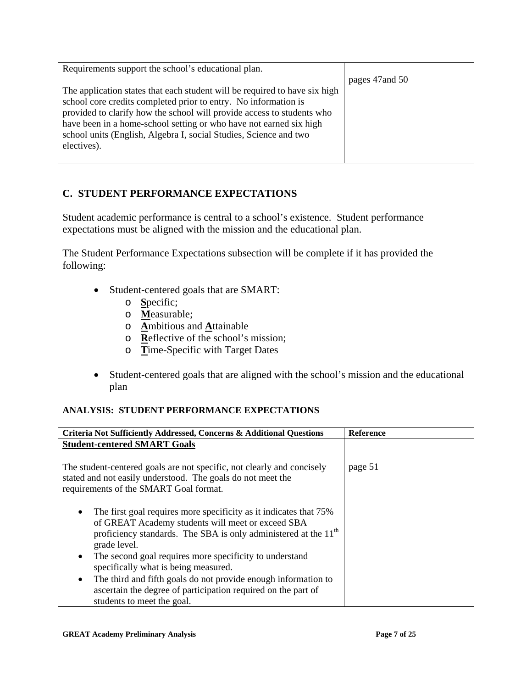| Requirements support the school's educational plan.                        |                 |
|----------------------------------------------------------------------------|-----------------|
|                                                                            | pages 47 and 50 |
| The application states that each student will be required to have six high |                 |
| school core credits completed prior to entry. No information is            |                 |
| provided to clarify how the school will provide access to students who     |                 |
| have been in a home-school setting or who have not earned six high         |                 |
| school units (English, Algebra I, social Studies, Science and two          |                 |
| electives).                                                                |                 |
|                                                                            |                 |

# **C. STUDENT PERFORMANCE EXPECTATIONS**

Student academic performance is central to a school's existence. Student performance expectations must be aligned with the mission and the educational plan.

The Student Performance Expectations subsection will be complete if it has provided the following:

- Student-centered goals that are SMART:
	- o **S**pecific;
	- o **M**easurable;
	- o **A**mbitious and **A**ttainable
	- o **R**eflective of the school's mission;
	- o **T**ime-Specific with Target Dates
- Student-centered goals that are aligned with the school's mission and the educational plan

### **ANALYSIS: STUDENT PERFORMANCE EXPECTATIONS**

| Criteria Not Sufficiently Addressed, Concerns & Additional Questions                                                                                                                                                               | <b>Reference</b> |
|------------------------------------------------------------------------------------------------------------------------------------------------------------------------------------------------------------------------------------|------------------|
| <b>Student-centered SMART Goals</b>                                                                                                                                                                                                |                  |
| The student-centered goals are not specific, not clearly and concisely<br>stated and not easily understood. The goals do not meet the<br>requirements of the SMART Goal format.                                                    | page 51          |
| The first goal requires more specificity as it indicates that 75%<br>$\bullet$<br>of GREAT Academy students will meet or exceed SBA<br>proficiency standards. The SBA is only administered at the 11 <sup>th</sup><br>grade level. |                  |
| The second goal requires more specificity to understand<br>$\bullet$<br>specifically what is being measured.                                                                                                                       |                  |
| The third and fifth goals do not provide enough information to<br>$\bullet$<br>ascertain the degree of participation required on the part of<br>students to meet the goal.                                                         |                  |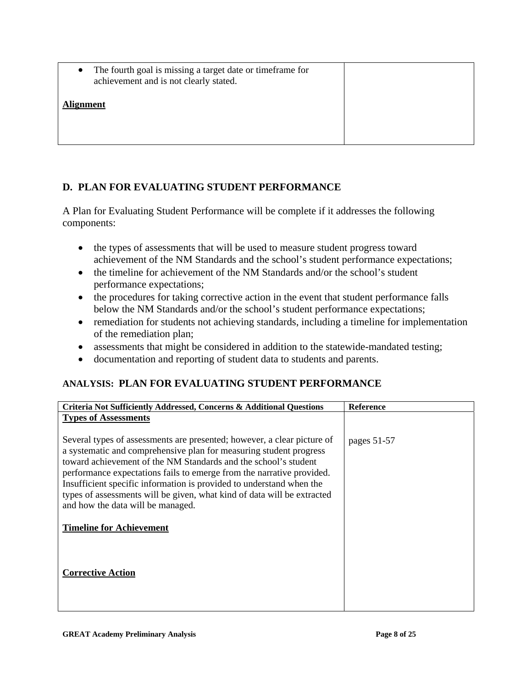• The fourth goal is missing a target date or time frame for achievement and is not clearly stated.

#### **Alignment**

# **D. PLAN FOR EVALUATING STUDENT PERFORMANCE**

A Plan for Evaluating Student Performance will be complete if it addresses the following components:

- the types of assessments that will be used to measure student progress toward achievement of the NM Standards and the school's student performance expectations;
- the timeline for achievement of the NM Standards and/or the school's student performance expectations;
- the procedures for taking corrective action in the event that student performance falls below the NM Standards and/or the school's student performance expectations;
- remediation for students not achieving standards, including a timeline for implementation of the remediation plan;
- assessments that might be considered in addition to the statewide-mandated testing;
- documentation and reporting of student data to students and parents.

### **ANALYSIS: PLAN FOR EVALUATING STUDENT PERFORMANCE**

| Criteria Not Sufficiently Addressed, Concerns & Additional Questions                                                                                                                                                                                                                                                                                                                                                                                                              | <b>Reference</b> |
|-----------------------------------------------------------------------------------------------------------------------------------------------------------------------------------------------------------------------------------------------------------------------------------------------------------------------------------------------------------------------------------------------------------------------------------------------------------------------------------|------------------|
| <b>Types of Assessments</b>                                                                                                                                                                                                                                                                                                                                                                                                                                                       |                  |
| Several types of assessments are presented; however, a clear picture of<br>a systematic and comprehensive plan for measuring student progress<br>toward achievement of the NM Standards and the school's student<br>performance expectations fails to emerge from the narrative provided.<br>Insufficient specific information is provided to understand when the<br>types of assessments will be given, what kind of data will be extracted<br>and how the data will be managed. | pages $51-57$    |
| <b>Timeline for Achievement</b>                                                                                                                                                                                                                                                                                                                                                                                                                                                   |                  |
| <b>Corrective Action</b>                                                                                                                                                                                                                                                                                                                                                                                                                                                          |                  |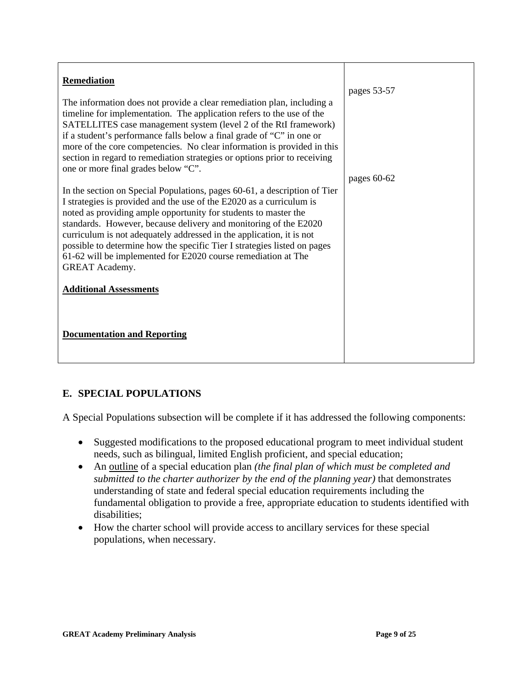| Remediation<br>The information does not provide a clear remediation plan, including a<br>timeline for implementation. The application refers to the use of the<br>SATELLITES case management system (level 2 of the RtI framework)<br>if a student's performance falls below a final grade of "C" in one or<br>more of the core competencies. No clear information is provided in this<br>section in regard to remediation strategies or options prior to receiving                                                                                                           | pages 53-57 |
|-------------------------------------------------------------------------------------------------------------------------------------------------------------------------------------------------------------------------------------------------------------------------------------------------------------------------------------------------------------------------------------------------------------------------------------------------------------------------------------------------------------------------------------------------------------------------------|-------------|
| one or more final grades below "C".<br>In the section on Special Populations, pages 60-61, a description of Tier<br>I strategies is provided and the use of the E2020 as a curriculum is<br>noted as providing ample opportunity for students to master the<br>standards. However, because delivery and monitoring of the E2020<br>curriculum is not adequately addressed in the application, it is not<br>possible to determine how the specific Tier I strategies listed on pages<br>61-62 will be implemented for E2020 course remediation at The<br><b>GREAT Academy.</b> | pages 60-62 |
| <b>Additional Assessments</b><br><b>Documentation and Reporting</b>                                                                                                                                                                                                                                                                                                                                                                                                                                                                                                           |             |

# **E. SPECIAL POPULATIONS**

A Special Populations subsection will be complete if it has addressed the following components:

- Suggested modifications to the proposed educational program to meet individual student needs, such as bilingual, limited English proficient, and special education;
- An outline of a special education plan *(the final plan of which must be completed and submitted to the charter authorizer by the end of the planning year)* that demonstrates understanding of state and federal special education requirements including the fundamental obligation to provide a free, appropriate education to students identified with disabilities;
- How the charter school will provide access to ancillary services for these special populations, when necessary.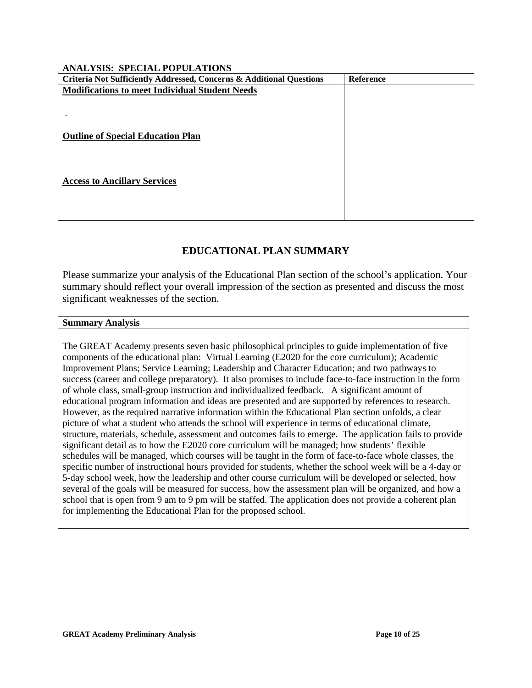#### **ANALYSIS: SPECIAL POPULATIONS**

| Criteria Not Sufficiently Addressed, Concerns & Additional Questions | Reference |
|----------------------------------------------------------------------|-----------|
| <b>Modifications to meet Individual Student Needs</b>                |           |
|                                                                      |           |
|                                                                      |           |
|                                                                      |           |
| <b>Outline of Special Education Plan</b>                             |           |
|                                                                      |           |
|                                                                      |           |
| <b>Access to Ancillary Services</b>                                  |           |
|                                                                      |           |
|                                                                      |           |
|                                                                      |           |

### **EDUCATIONAL PLAN SUMMARY**

Please summarize your analysis of the Educational Plan section of the school's application. Your summary should reflect your overall impression of the section as presented and discuss the most significant weaknesses of the section.

#### **Summary Analysis**

The GREAT Academy presents seven basic philosophical principles to guide implementation of five components of the educational plan: Virtual Learning (E2020 for the core curriculum); Academic Improvement Plans; Service Learning; Leadership and Character Education; and two pathways to success (career and college preparatory). It also promises to include face-to-face instruction in the form of whole class, small-group instruction and individualized feedback. A significant amount of educational program information and ideas are presented and are supported by references to research. However, as the required narrative information within the Educational Plan section unfolds, a clear picture of what a student who attends the school will experience in terms of educational climate, structure, materials, schedule, assessment and outcomes fails to emerge. The application fails to provide significant detail as to how the E2020 core curriculum will be managed; how students' flexible schedules will be managed, which courses will be taught in the form of face-to-face whole classes, the specific number of instructional hours provided for students, whether the school week will be a 4-day or 5-day school week, how the leadership and other course curriculum will be developed or selected, how several of the goals will be measured for success, how the assessment plan will be organized, and how a school that is open from 9 am to 9 pm will be staffed. The application does not provide a coherent plan for implementing the Educational Plan for the proposed school.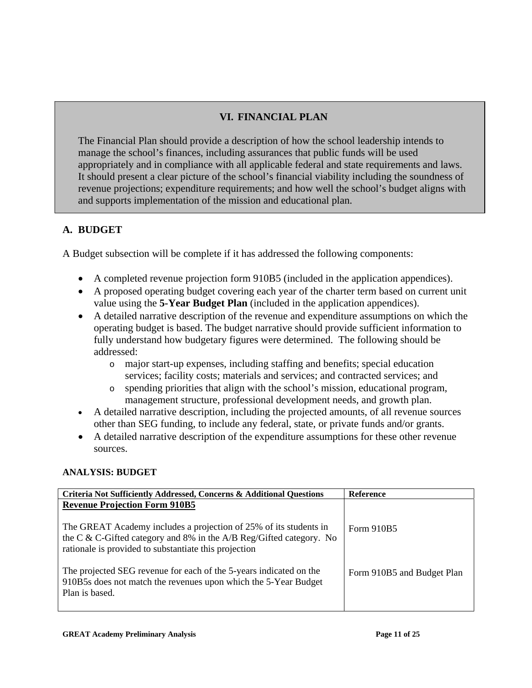# **VI. FINANCIAL PLAN**

The Financial Plan should provide a description of how the school leadership intends to manage the school's finances, including assurances that public funds will be used appropriately and in compliance with all applicable federal and state requirements and laws. It should present a clear picture of the school's financial viability including the soundness of revenue projections; expenditure requirements; and how well the school's budget aligns with and supports implementation of the mission and educational plan.

# **A. BUDGET**

A Budget subsection will be complete if it has addressed the following components:

- A completed revenue projection form 910B5 (included in the application appendices).
- A proposed operating budget covering each year of the charter term based on current unit value using the **5-Year Budget Plan** (included in the application appendices).
- A detailed narrative description of the revenue and expenditure assumptions on which the operating budget is based. The budget narrative should provide sufficient information to fully understand how budgetary figures were determined. The following should be addressed:
	- o major start-up expenses, including staffing and benefits; special education services; facility costs; materials and services; and contracted services; and
	- o spending priorities that align with the school's mission, educational program, management structure, professional development needs, and growth plan.
- A detailed narrative description, including the projected amounts, of all revenue sources other than SEG funding, to include any federal, state, or private funds and/or grants.
- A detailed narrative description of the expenditure assumptions for these other revenue sources.

### **ANALYSIS: BUDGET**

| Criteria Not Sufficiently Addressed, Concerns & Additional Questions                                                                                                                                                                      | Reference                  |
|-------------------------------------------------------------------------------------------------------------------------------------------------------------------------------------------------------------------------------------------|----------------------------|
| <b>Revenue Projection Form 910B5</b><br>The GREAT Academy includes a projection of 25% of its students in<br>the C & C-Gifted category and 8% in the A/B Reg/Gifted category. No<br>rationale is provided to substantiate this projection | Form 910B5                 |
| The projected SEG revenue for each of the 5-years indicated on the<br>910B5s does not match the revenues upon which the 5-Year Budget<br>Plan is based.                                                                                   | Form 910B5 and Budget Plan |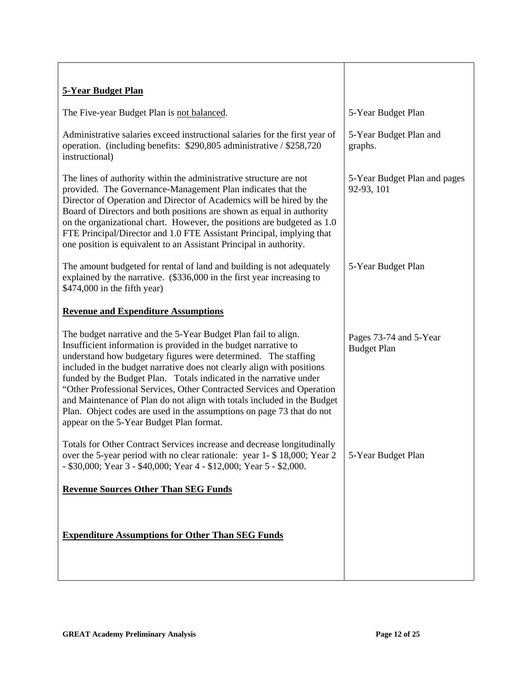| <b>5-Year Budget Plan</b>                                                                                                                                                                                                                                                                                                                                                                                                                                                                                                                                                                                                    |                                              |
|------------------------------------------------------------------------------------------------------------------------------------------------------------------------------------------------------------------------------------------------------------------------------------------------------------------------------------------------------------------------------------------------------------------------------------------------------------------------------------------------------------------------------------------------------------------------------------------------------------------------------|----------------------------------------------|
| The Five-year Budget Plan is not balanced.                                                                                                                                                                                                                                                                                                                                                                                                                                                                                                                                                                                   | 5-Year Budget Plan                           |
| Administrative salaries exceed instructional salaries for the first year of<br>operation. (including benefits: \$290,805 administrative / \$258,720<br>instructional)                                                                                                                                                                                                                                                                                                                                                                                                                                                        | 5-Year Budget Plan and<br>graphs.            |
| The lines of authority within the administrative structure are not<br>provided. The Governance-Management Plan indicates that the<br>Director of Operation and Director of Academics will be hired by the<br>Board of Directors and both positions are shown as equal in authority<br>on the organizational chart. However, the positions are budgeted as 1.0<br>FTE Principal/Director and 1.0 FTE Assistant Principal, implying that<br>one position is equivalent to an Assistant Principal in authority.                                                                                                                 | 5-Year Budget Plan and pages<br>92-93, 101   |
| The amount budgeted for rental of land and building is not adequately<br>explained by the narrative. (\$336,000 in the first year increasing to<br>\$474,000 in the fifth year)                                                                                                                                                                                                                                                                                                                                                                                                                                              | 5-Year Budget Plan                           |
| <b>Revenue and Expenditure Assumptions</b>                                                                                                                                                                                                                                                                                                                                                                                                                                                                                                                                                                                   |                                              |
| The budget narrative and the 5-Year Budget Plan fail to align.<br>Insufficient information is provided in the budget narrative to<br>understand how budgetary figures were determined. The staffing<br>included in the budget narrative does not clearly align with positions<br>funded by the Budget Plan. Totals indicated in the narrative under<br>"Other Professional Services, Other Contracted Services and Operation<br>and Maintenance of Plan do not align with totals included in the Budget<br>Plan. Object codes are used in the assumptions on page 73 that do not<br>appear on the 5-Year Budget Plan format. | Pages 73-74 and 5-Year<br><b>Budget Plan</b> |
| Totals for Other Contract Services increase and decrease longitudinally<br>over the 5-year period with no clear rationale: year 1- \$18,000; Year 2<br>- \$30,000; Year 3 - \$40,000; Year 4 - \$12,000; Year 5 - \$2,000.                                                                                                                                                                                                                                                                                                                                                                                                   | 5-Year Budget Plan                           |
| <b>Revenue Sources Other Than SEG Funds</b>                                                                                                                                                                                                                                                                                                                                                                                                                                                                                                                                                                                  |                                              |
| <b>Expenditure Assumptions for Other Than SEG Funds</b>                                                                                                                                                                                                                                                                                                                                                                                                                                                                                                                                                                      |                                              |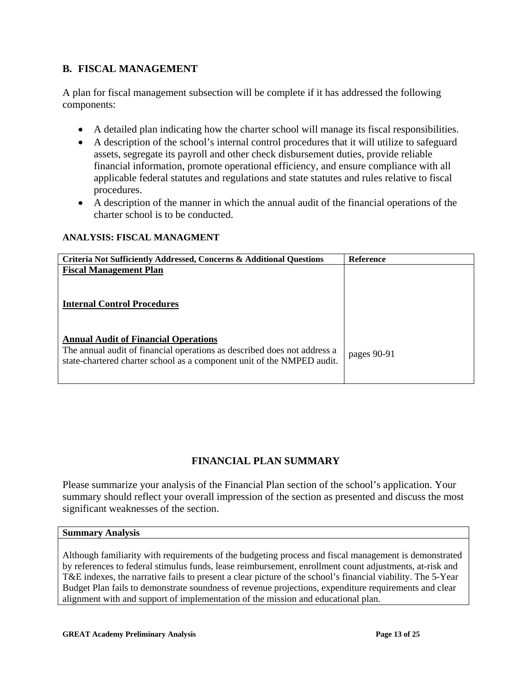## **B. FISCAL MANAGEMENT**

A plan for fiscal management subsection will be complete if it has addressed the following components:

- A detailed plan indicating how the charter school will manage its fiscal responsibilities.
- A description of the school's internal control procedures that it will utilize to safeguard assets, segregate its payroll and other check disbursement duties, provide reliable financial information, promote operational efficiency, and ensure compliance with all applicable federal statutes and regulations and state statutes and rules relative to fiscal procedures.
- A description of the manner in which the annual audit of the financial operations of the charter school is to be conducted.

#### **ANALYSIS: FISCAL MANAGMENT**

| <b>Criteria Not Sufficiently Addressed, Concerns &amp; Additional Questions</b> | <b>Reference</b> |
|---------------------------------------------------------------------------------|------------------|
| <b>Fiscal Management Plan</b>                                                   |                  |
|                                                                                 |                  |
|                                                                                 |                  |
| <b>Internal Control Procedures</b>                                              |                  |
|                                                                                 |                  |
|                                                                                 |                  |
| <b>Annual Audit of Financial Operations</b>                                     |                  |
| The annual audit of financial operations as described does not address a        |                  |
| state-chartered charter school as a component unit of the NMPED audit.          | pages 90-91      |
|                                                                                 |                  |
|                                                                                 |                  |

# **FINANCIAL PLAN SUMMARY**

Please summarize your analysis of the Financial Plan section of the school's application. Your summary should reflect your overall impression of the section as presented and discuss the most significant weaknesses of the section.

#### **Summary Analysis**

Although familiarity with requirements of the budgeting process and fiscal management is demonstrated by references to federal stimulus funds, lease reimbursement, enrollment count adjustments, at-risk and T&E indexes, the narrative fails to present a clear picture of the school's financial viability. The 5-Year Budget Plan fails to demonstrate soundness of revenue projections, expenditure requirements and clear alignment with and support of implementation of the mission and educational plan.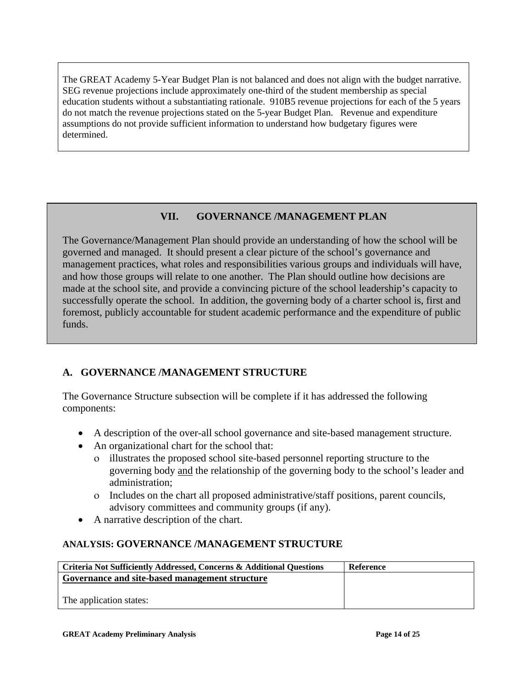The GREAT Academy 5-Year Budget Plan is not balanced and does not align with the budget narrative. SEG revenue projections include approximately one-third of the student membership as special education students without a substantiating rationale. 910B5 revenue projections for each of the 5 years do not match the revenue projections stated on the 5-year Budget Plan. Revenue and expenditure assumptions do not provide sufficient information to understand how budgetary figures were determined.

# **VII. GOVERNANCE /MANAGEMENT PLAN**

The Governance/Management Plan should provide an understanding of how the school will be governed and managed. It should present a clear picture of the school's governance and management practices, what roles and responsibilities various groups and individuals will have, and how those groups will relate to one another. The Plan should outline how decisions are made at the school site, and provide a convincing picture of the school leadership's capacity to successfully operate the school. In addition, the governing body of a charter school is, first and foremost, publicly accountable for student academic performance and the expenditure of public funds.

# **A. GOVERNANCE /MANAGEMENT STRUCTURE**

The Governance Structure subsection will be complete if it has addressed the following components:

- A description of the over-all school governance and site-based management structure.
- An organizational chart for the school that:
	- ο illustrates the proposed school site-based personnel reporting structure to the governing body and the relationship of the governing body to the school's leader and administration;
	- ο Includes on the chart all proposed administrative/staff positions, parent councils, advisory committees and community groups (if any).
- A narrative description of the chart.

# **ANALYSIS: GOVERNANCE /MANAGEMENT STRUCTURE**

| Criteria Not Sufficiently Addressed, Concerns & Additional Questions | Reference |
|----------------------------------------------------------------------|-----------|
| Governance and site-based management structure                       |           |
|                                                                      |           |
| The application states:                                              |           |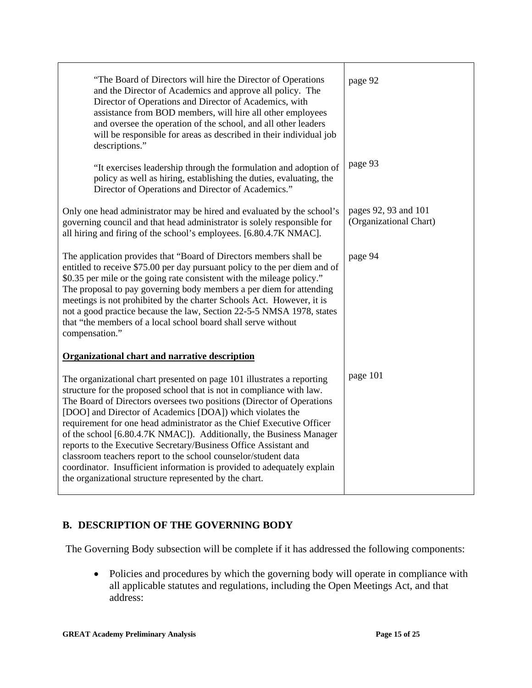| "The Board of Directors will hire the Director of Operations<br>and the Director of Academics and approve all policy. The<br>Director of Operations and Director of Academics, with<br>assistance from BOD members, will hire all other employees<br>and oversee the operation of the school, and all other leaders<br>will be responsible for areas as described in their individual job<br>descriptions."                                                                                                                                                                                                                                                                                                      | page 92                                        |
|------------------------------------------------------------------------------------------------------------------------------------------------------------------------------------------------------------------------------------------------------------------------------------------------------------------------------------------------------------------------------------------------------------------------------------------------------------------------------------------------------------------------------------------------------------------------------------------------------------------------------------------------------------------------------------------------------------------|------------------------------------------------|
| "It exercises leadership through the formulation and adoption of<br>policy as well as hiring, establishing the duties, evaluating, the<br>Director of Operations and Director of Academics."                                                                                                                                                                                                                                                                                                                                                                                                                                                                                                                     | page 93                                        |
| Only one head administrator may be hired and evaluated by the school's<br>governing council and that head administrator is solely responsible for<br>all hiring and firing of the school's employees. [6.80.4.7K NMAC].                                                                                                                                                                                                                                                                                                                                                                                                                                                                                          | pages 92, 93 and 101<br>(Organizational Chart) |
| The application provides that "Board of Directors members shall be<br>entitled to receive \$75.00 per day pursuant policy to the per diem and of<br>\$0.35 per mile or the going rate consistent with the mileage policy."<br>The proposal to pay governing body members a per diem for attending<br>meetings is not prohibited by the charter Schools Act. However, it is<br>not a good practice because the law, Section 22-5-5 NMSA 1978, states<br>that "the members of a local school board shall serve without<br>compensation."                                                                                                                                                                           | page 94                                        |
| <b>Organizational chart and narrative description</b>                                                                                                                                                                                                                                                                                                                                                                                                                                                                                                                                                                                                                                                            |                                                |
| The organizational chart presented on page 101 illustrates a reporting<br>structure for the proposed school that is not in compliance with law.<br>The Board of Directors oversees two positions (Director of Operations<br>[DOO] and Director of Academics [DOA]) which violates the<br>requirement for one head administrator as the Chief Executive Officer<br>of the school [6.80.4.7K NMAC]). Additionally, the Business Manager<br>reports to the Executive Secretary/Business Office Assistant and<br>classroom teachers report to the school counselor/student data<br>coordinator. Insufficient information is provided to adequately explain<br>the organizational structure represented by the chart. | page 101                                       |

# **B. DESCRIPTION OF THE GOVERNING BODY**

The Governing Body subsection will be complete if it has addressed the following components:

• Policies and procedures by which the governing body will operate in compliance with all applicable statutes and regulations, including the Open Meetings Act, and that address: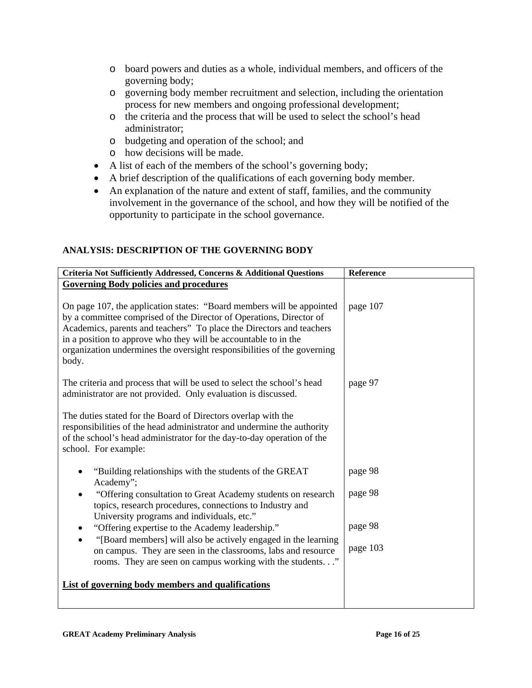- o board powers and duties as a whole, individual members, and officers of the governing body;
- o governing body member recruitment and selection, including the orientation process for new members and ongoing professional development;
- o the criteria and the process that will be used to select the school's head administrator;
- o budgeting and operation of the school; and
- o how decisions will be made.
- A list of each of the members of the school's governing body;
- A brief description of the qualifications of each governing body member.
- An explanation of the nature and extent of staff, families, and the community involvement in the governance of the school, and how they will be notified of the opportunity to participate in the school governance.

### **ANALYSIS: DESCRIPTION OF THE GOVERNING BODY**

| Criteria Not Sufficiently Addressed, Concerns & Additional Questions                                                                                                                                                                                                                                                                                                        | Reference |
|-----------------------------------------------------------------------------------------------------------------------------------------------------------------------------------------------------------------------------------------------------------------------------------------------------------------------------------------------------------------------------|-----------|
| <b>Governing Body policies and procedures</b>                                                                                                                                                                                                                                                                                                                               |           |
| On page 107, the application states: "Board members will be appointed<br>by a committee comprised of the Director of Operations, Director of<br>Academics, parents and teachers" To place the Directors and teachers<br>in a position to approve who they will be accountable to in the<br>organization undermines the oversight responsibilities of the governing<br>body. | page 107  |
| The criteria and process that will be used to select the school's head<br>administrator are not provided. Only evaluation is discussed.                                                                                                                                                                                                                                     | page 97   |
| The duties stated for the Board of Directors overlap with the<br>responsibilities of the head administrator and undermine the authority<br>of the school's head administrator for the day-to-day operation of the<br>school. For example:                                                                                                                                   |           |
| "Building relationships with the students of the GREAT<br>Academy";                                                                                                                                                                                                                                                                                                         | page 98   |
| "Offering consultation to Great Academy students on research<br>topics, research procedures, connections to Industry and<br>University programs and individuals, etc."                                                                                                                                                                                                      | page 98   |
| "Offering expertise to the Academy leadership."<br>$\bullet$                                                                                                                                                                                                                                                                                                                | page 98   |
| "[Board members] will also be actively engaged in the learning<br>on campus. They are seen in the classrooms, labs and resource<br>rooms. They are seen on campus working with the students"                                                                                                                                                                                | page 103  |
| List of governing body members and qualifications                                                                                                                                                                                                                                                                                                                           |           |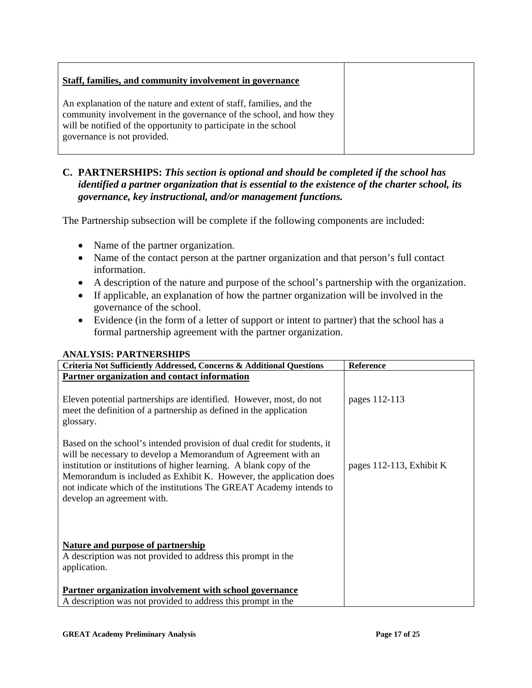### **Staff, families, and community involvement in governance**

An explanation of the nature and extent of staff, families, and the community involvement in the governance of the school, and how they will be notified of the opportunity to participate in the school governance is not provided.

### **C. PARTNERSHIPS:** *This section is optional and should be completed if the school has identified a partner organization that is essential to the existence of the charter school, its governance, key instructional, and/or management functions.*

The Partnership subsection will be complete if the following components are included:

- Name of the partner organization.
- Name of the contact person at the partner organization and that person's full contact information.
- A description of the nature and purpose of the school's partnership with the organization.
- If applicable, an explanation of how the partner organization will be involved in the governance of the school.
- Evidence (in the form of a letter of support or intent to partner) that the school has a formal partnership agreement with the partner organization.

| Criteria Not Sufficiently Addressed, Concerns & Additional Questions                                                                                                                                                                                                                                                                                                                         | Reference                |
|----------------------------------------------------------------------------------------------------------------------------------------------------------------------------------------------------------------------------------------------------------------------------------------------------------------------------------------------------------------------------------------------|--------------------------|
| Partner organization and contact information                                                                                                                                                                                                                                                                                                                                                 |                          |
| Eleven potential partnerships are identified. However, most, do not<br>meet the definition of a partnership as defined in the application<br>glossary.                                                                                                                                                                                                                                       | pages 112-113            |
| Based on the school's intended provision of dual credit for students, it<br>will be necessary to develop a Memorandum of Agreement with an<br>institution or institutions of higher learning. A blank copy of the<br>Memorandum is included as Exhibit K. However, the application does<br>not indicate which of the institutions The GREAT Academy intends to<br>develop an agreement with. | pages 112-113, Exhibit K |
| <b>Nature and purpose of partnership</b><br>A description was not provided to address this prompt in the<br>application.                                                                                                                                                                                                                                                                     |                          |
| Partner organization involvement with school governance<br>A description was not provided to address this prompt in the                                                                                                                                                                                                                                                                      |                          |
|                                                                                                                                                                                                                                                                                                                                                                                              |                          |

#### **ANALYSIS: PARTNERSHIPS**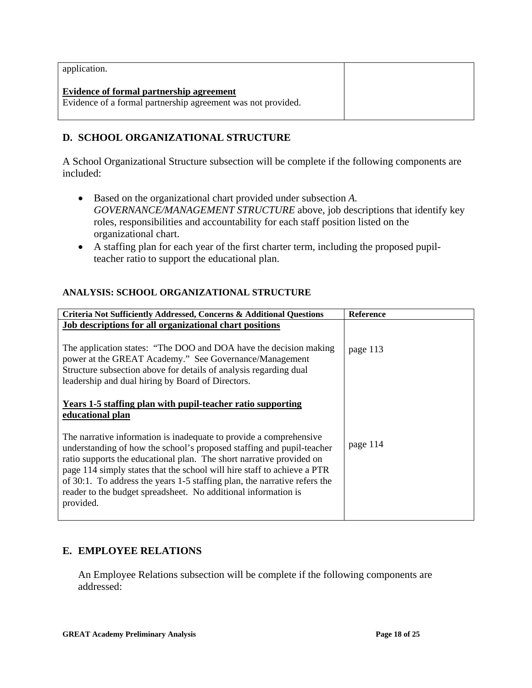| application.                                                                                             |  |
|----------------------------------------------------------------------------------------------------------|--|
| Evidence of formal partnership agreement<br>Evidence of a formal partnership agreement was not provided. |  |

# **D. SCHOOL ORGANIZATIONAL STRUCTURE**

A School Organizational Structure subsection will be complete if the following components are included:

- Based on the organizational chart provided under subsection *A. GOVERNANCE/MANAGEMENT STRUCTURE* above, job descriptions that identify key roles, responsibilities and accountability for each staff position listed on the organizational chart.
- A staffing plan for each year of the first charter term, including the proposed pupilteacher ratio to support the educational plan.

#### **ANALYSIS: SCHOOL ORGANIZATIONAL STRUCTURE**

| Criteria Not Sufficiently Addressed, Concerns & Additional Questions                                                                                                                                                                                                                                                                                                                                                                                       | <b>Reference</b> |
|------------------------------------------------------------------------------------------------------------------------------------------------------------------------------------------------------------------------------------------------------------------------------------------------------------------------------------------------------------------------------------------------------------------------------------------------------------|------------------|
| Job descriptions for all organizational chart positions                                                                                                                                                                                                                                                                                                                                                                                                    |                  |
| The application states: "The DOO and DOA have the decision making<br>power at the GREAT Academy." See Governance/Management<br>Structure subsection above for details of analysis regarding dual<br>leadership and dual hiring by Board of Directors.                                                                                                                                                                                                      | page 113         |
| Years 1-5 staffing plan with pupil-teacher ratio supporting<br>educational plan                                                                                                                                                                                                                                                                                                                                                                            |                  |
| The narrative information is inadequate to provide a comprehensive<br>understanding of how the school's proposed staffing and pupil-teacher<br>ratio supports the educational plan. The short narrative provided on<br>page 114 simply states that the school will hire staff to achieve a PTR<br>of 30:1. To address the years 1-5 staffing plan, the narrative refers the<br>reader to the budget spreadsheet. No additional information is<br>provided. | page 114         |

### **E. EMPLOYEE RELATIONS**

An Employee Relations subsection will be complete if the following components are addressed: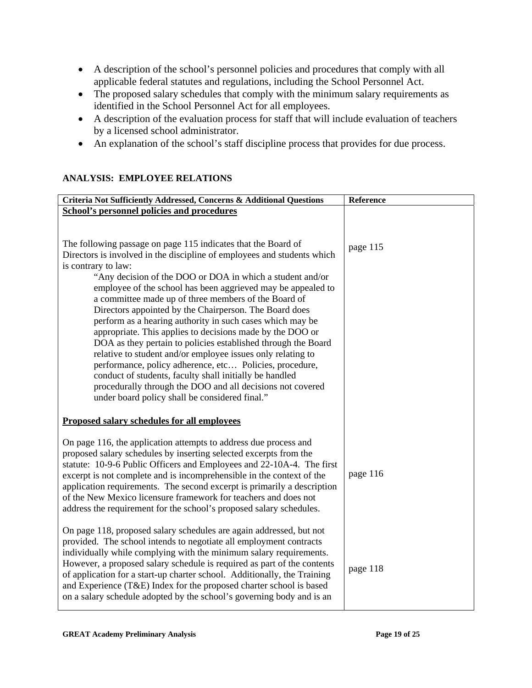- A description of the school's personnel policies and procedures that comply with all applicable federal statutes and regulations, including the School Personnel Act.
- The proposed salary schedules that comply with the minimum salary requirements as identified in the School Personnel Act for all employees.
- A description of the evaluation process for staff that will include evaluation of teachers by a licensed school administrator.
- An explanation of the school's staff discipline process that provides for due process.

#### **ANALYSIS: EMPLOYEE RELATIONS**

| Criteria Not Sufficiently Addressed, Concerns & Additional Questions                                                                                                                                                                                                                                                                                                                                                                                                                                                                                                                                                                                                                                                                                                                                                                                                                                           | Reference |
|----------------------------------------------------------------------------------------------------------------------------------------------------------------------------------------------------------------------------------------------------------------------------------------------------------------------------------------------------------------------------------------------------------------------------------------------------------------------------------------------------------------------------------------------------------------------------------------------------------------------------------------------------------------------------------------------------------------------------------------------------------------------------------------------------------------------------------------------------------------------------------------------------------------|-----------|
| <b>School's personnel policies and procedures</b>                                                                                                                                                                                                                                                                                                                                                                                                                                                                                                                                                                                                                                                                                                                                                                                                                                                              |           |
|                                                                                                                                                                                                                                                                                                                                                                                                                                                                                                                                                                                                                                                                                                                                                                                                                                                                                                                |           |
| The following passage on page 115 indicates that the Board of<br>Directors is involved in the discipline of employees and students which<br>is contrary to law:<br>"Any decision of the DOO or DOA in which a student and/or<br>employee of the school has been aggrieved may be appealed to<br>a committee made up of three members of the Board of<br>Directors appointed by the Chairperson. The Board does<br>perform as a hearing authority in such cases which may be<br>appropriate. This applies to decisions made by the DOO or<br>DOA as they pertain to policies established through the Board<br>relative to student and/or employee issues only relating to<br>performance, policy adherence, etc Policies, procedure,<br>conduct of students, faculty shall initially be handled<br>procedurally through the DOO and all decisions not covered<br>under board policy shall be considered final." | page 115  |
| <b>Proposed salary schedules for all employees</b>                                                                                                                                                                                                                                                                                                                                                                                                                                                                                                                                                                                                                                                                                                                                                                                                                                                             |           |
| On page 116, the application attempts to address due process and<br>proposed salary schedules by inserting selected excerpts from the<br>statute: 10-9-6 Public Officers and Employees and 22-10A-4. The first<br>excerpt is not complete and is incomprehensible in the context of the<br>application requirements. The second excerpt is primarily a description<br>of the New Mexico licensure framework for teachers and does not<br>address the requirement for the school's proposed salary schedules.                                                                                                                                                                                                                                                                                                                                                                                                   | page 116  |
| On page 118, proposed salary schedules are again addressed, but not<br>provided. The school intends to negotiate all employment contracts<br>individually while complying with the minimum salary requirements.<br>However, a proposed salary schedule is required as part of the contents<br>of application for a start-up charter school. Additionally, the Training<br>and Experience (T&E) Index for the proposed charter school is based<br>on a salary schedule adopted by the school's governing body and is an                                                                                                                                                                                                                                                                                                                                                                                         | page 118  |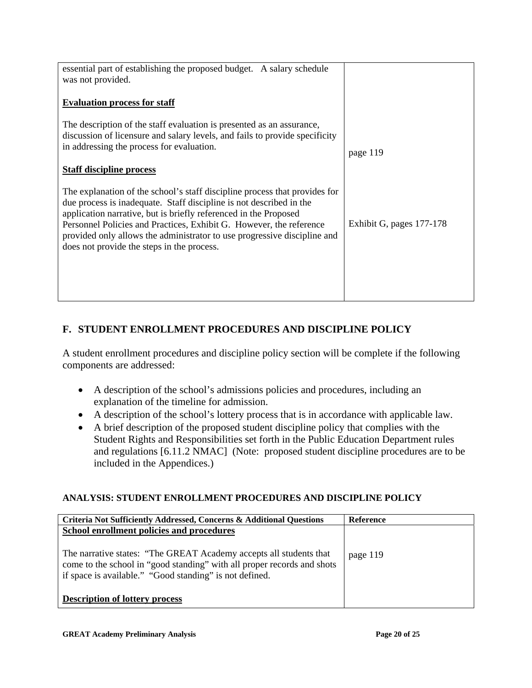| essential part of establishing the proposed budget. A salary schedule                                                                             |                          |
|---------------------------------------------------------------------------------------------------------------------------------------------------|--------------------------|
| was not provided.                                                                                                                                 |                          |
|                                                                                                                                                   |                          |
| <b>Evaluation process for staff</b>                                                                                                               |                          |
|                                                                                                                                                   |                          |
| The description of the staff evaluation is presented as an assurance,                                                                             |                          |
| discussion of licensure and salary levels, and fails to provide specificity                                                                       |                          |
| in addressing the process for evaluation.                                                                                                         | page 119                 |
|                                                                                                                                                   |                          |
| <b>Staff discipline process</b>                                                                                                                   |                          |
|                                                                                                                                                   |                          |
| The explanation of the school's staff discipline process that provides for<br>due process is inadequate. Staff discipline is not described in the |                          |
| application narrative, but is briefly referenced in the Proposed                                                                                  |                          |
| Personnel Policies and Practices, Exhibit G. However, the reference                                                                               | Exhibit G, pages 177-178 |
| provided only allows the administrator to use progressive discipline and                                                                          |                          |
|                                                                                                                                                   |                          |
|                                                                                                                                                   |                          |
|                                                                                                                                                   |                          |
|                                                                                                                                                   |                          |
|                                                                                                                                                   |                          |
| does not provide the steps in the process.                                                                                                        |                          |

# **F. STUDENT ENROLLMENT PROCEDURES AND DISCIPLINE POLICY**

A student enrollment procedures and discipline policy section will be complete if the following components are addressed:

- A description of the school's admissions policies and procedures, including an explanation of the timeline for admission.
- A description of the school's lottery process that is in accordance with applicable law.
- A brief description of the proposed student discipline policy that complies with the Student Rights and Responsibilities set forth in the Public Education Department rules and regulations [6.11.2 NMAC] (Note: proposed student discipline procedures are to be included in the Appendices.)

#### **ANALYSIS: STUDENT ENROLLMENT PROCEDURES AND DISCIPLINE POLICY**

| <b>Criteria Not Sufficiently Addressed, Concerns &amp; Additional Questions</b>                                                                                                                          | <b>Reference</b> |
|----------------------------------------------------------------------------------------------------------------------------------------------------------------------------------------------------------|------------------|
| School enrollment policies and procedures                                                                                                                                                                |                  |
| The narrative states: "The GREAT Academy accepts all students that<br>come to the school in "good standing" with all proper records and shots<br>if space is available." "Good standing" is not defined. | page 119         |
| <b>Description of lottery process</b>                                                                                                                                                                    |                  |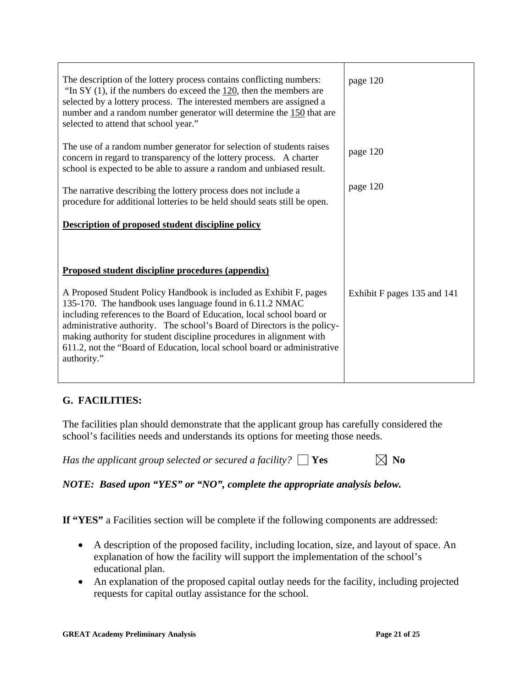| The description of the lottery process contains conflicting numbers:<br>"In SY $(1)$ , if the numbers do exceed the $120$ , then the members are<br>selected by a lottery process. The interested members are assigned a<br>number and a random number generator will determine the 150 that are<br>selected to attend that school year."                                                                                                              | page 120                    |
|--------------------------------------------------------------------------------------------------------------------------------------------------------------------------------------------------------------------------------------------------------------------------------------------------------------------------------------------------------------------------------------------------------------------------------------------------------|-----------------------------|
| The use of a random number generator for selection of students raises<br>concern in regard to transparency of the lottery process. A charter<br>school is expected to be able to assure a random and unbiased result.                                                                                                                                                                                                                                  | page 120                    |
| The narrative describing the lottery process does not include a<br>procedure for additional lotteries to be held should seats still be open.                                                                                                                                                                                                                                                                                                           | page 120                    |
| <b>Description of proposed student discipline policy</b>                                                                                                                                                                                                                                                                                                                                                                                               |                             |
|                                                                                                                                                                                                                                                                                                                                                                                                                                                        |                             |
| Proposed student discipline procedures (appendix)                                                                                                                                                                                                                                                                                                                                                                                                      |                             |
| A Proposed Student Policy Handbook is included as Exhibit F, pages<br>135-170. The handbook uses language found in 6.11.2 NMAC<br>including references to the Board of Education, local school board or<br>administrative authority. The school's Board of Directors is the policy-<br>making authority for student discipline procedures in alignment with<br>611.2, not the "Board of Education, local school board or administrative<br>authority." | Exhibit F pages 135 and 141 |

# **G. FACILITIES:**

The facilities plan should demonstrate that the applicant group has carefully considered the school's facilities needs and understands its options for meeting those needs.

*Has the applicant group selected or secured a facility?*  $\Box$  **Yes**  $\Box$  **No** 

*NOTE: Based upon "YES" or "NO", complete the appropriate analysis below.* 

**If "YES"** a Facilities section will be complete if the following components are addressed:

- A description of the proposed facility, including location, size, and layout of space. An explanation of how the facility will support the implementation of the school's educational plan.
- An explanation of the proposed capital outlay needs for the facility, including projected requests for capital outlay assistance for the school.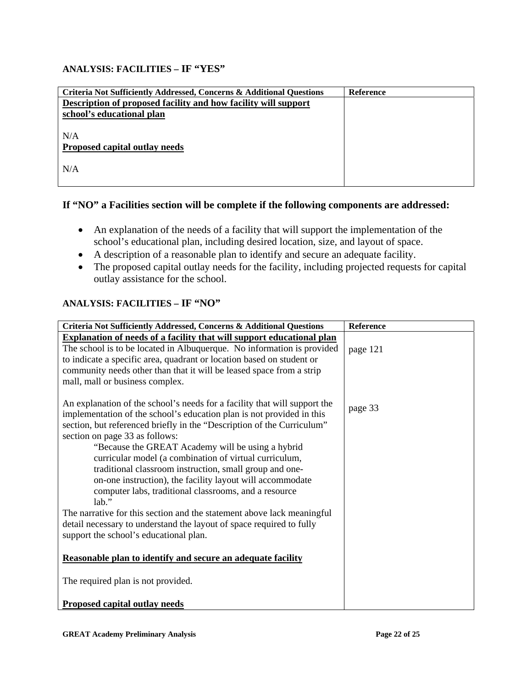### **ANALYSIS: FACILITIES – IF "YES"**

| Criteria Not Sufficiently Addressed, Concerns & Additional Questions | <b>Reference</b> |
|----------------------------------------------------------------------|------------------|
| Description of proposed facility and how facility will support       |                  |
| school's educational plan                                            |                  |
|                                                                      |                  |
| N/A                                                                  |                  |
| Proposed capital outlay needs                                        |                  |
|                                                                      |                  |
| N/A                                                                  |                  |
|                                                                      |                  |

### **If "NO" a Facilities section will be complete if the following components are addressed:**

- An explanation of the needs of a facility that will support the implementation of the school's educational plan, including desired location, size, and layout of space.
- A description of a reasonable plan to identify and secure an adequate facility.
- The proposed capital outlay needs for the facility, including projected requests for capital outlay assistance for the school.

### **ANALYSIS: FACILITIES – IF "NO"**

| Criteria Not Sufficiently Addressed, Concerns & Additional Questions                                        | Reference |
|-------------------------------------------------------------------------------------------------------------|-----------|
| <b>Explanation of needs of a facility that will support educational plan</b>                                |           |
| The school is to be located in Albuquerque. No information is provided                                      | page 121  |
| to indicate a specific area, quadrant or location based on student or                                       |           |
| community needs other than that it will be leased space from a strip                                        |           |
| mall, mall or business complex.                                                                             |           |
|                                                                                                             |           |
| An explanation of the school's needs for a facility that will support the                                   | page 33   |
| implementation of the school's education plan is not provided in this                                       |           |
| section, but referenced briefly in the "Description of the Curriculum"                                      |           |
| section on page 33 as follows:                                                                              |           |
| "Because the GREAT Academy will be using a hybrid<br>curricular model (a combination of virtual curriculum, |           |
| traditional classroom instruction, small group and one-                                                     |           |
| on-one instruction), the facility layout will accommodate                                                   |           |
| computer labs, traditional classrooms, and a resource                                                       |           |
| $lab.$ "                                                                                                    |           |
| The narrative for this section and the statement above lack meaningful                                      |           |
| detail necessary to understand the layout of space required to fully                                        |           |
| support the school's educational plan.                                                                      |           |
|                                                                                                             |           |
| Reasonable plan to identify and secure an adequate facility                                                 |           |
|                                                                                                             |           |
| The required plan is not provided.                                                                          |           |
|                                                                                                             |           |
| <b>Proposed capital outlay needs</b>                                                                        |           |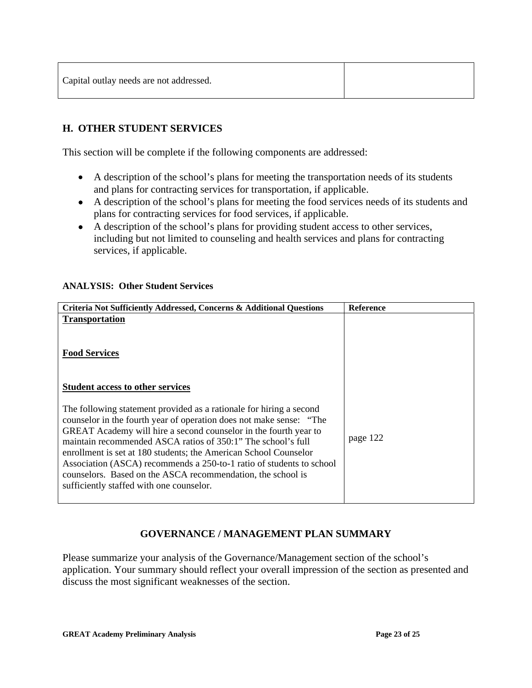| Capital outlay needs are not addressed. |  |
|-----------------------------------------|--|
|-----------------------------------------|--|

# **H. OTHER STUDENT SERVICES**

This section will be complete if the following components are addressed:

- A description of the school's plans for meeting the transportation needs of its students and plans for contracting services for transportation, if applicable.
- A description of the school's plans for meeting the food services needs of its students and plans for contracting services for food services, if applicable.
- A description of the school's plans for providing student access to other services, including but not limited to counseling and health services and plans for contracting services, if applicable.

#### **ANALYSIS: Other Student Services**

| Criteria Not Sufficiently Addressed, Concerns & Additional Questions                                                                                                                                                                                                                                                                                                                                                                                                                                                                  | <b>Reference</b> |
|---------------------------------------------------------------------------------------------------------------------------------------------------------------------------------------------------------------------------------------------------------------------------------------------------------------------------------------------------------------------------------------------------------------------------------------------------------------------------------------------------------------------------------------|------------------|
| <b>Transportation</b>                                                                                                                                                                                                                                                                                                                                                                                                                                                                                                                 |                  |
| <b>Food Services</b>                                                                                                                                                                                                                                                                                                                                                                                                                                                                                                                  |                  |
| <b>Student access to other services</b>                                                                                                                                                                                                                                                                                                                                                                                                                                                                                               |                  |
| The following statement provided as a rationale for hiring a second<br>counselor in the fourth year of operation does not make sense: "The<br>GREAT Academy will hire a second counselor in the fourth year to<br>maintain recommended ASCA ratios of 350:1" The school's full<br>enrollment is set at 180 students; the American School Counselor<br>Association (ASCA) recommends a 250-to-1 ratio of students to school<br>counselors. Based on the ASCA recommendation, the school is<br>sufficiently staffed with one counselor. | page 122         |

### **GOVERNANCE / MANAGEMENT PLAN SUMMARY**

Please summarize your analysis of the Governance/Management section of the school's application. Your summary should reflect your overall impression of the section as presented and discuss the most significant weaknesses of the section.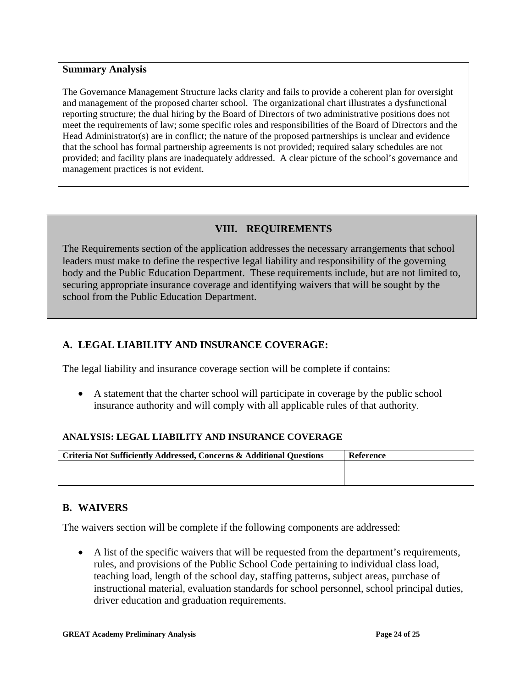**Summary Analysis** 

The Governance Management Structure lacks clarity and fails to provide a coherent plan for oversight and management of the proposed charter school. The organizational chart illustrates a dysfunctional reporting structure; the dual hiring by the Board of Directors of two administrative positions does not meet the requirements of law; some specific roles and responsibilities of the Board of Directors and the Head Administrator(s) are in conflict; the nature of the proposed partnerships is unclear and evidence that the school has formal partnership agreements is not provided; required salary schedules are not provided; and facility plans are inadequately addressed. A clear picture of the school's governance and management practices is not evident.

# **VIII. REQUIREMENTS**

The Requirements section of the application addresses the necessary arrangements that school leaders must make to define the respective legal liability and responsibility of the governing body and the Public Education Department. These requirements include, but are not limited to, securing appropriate insurance coverage and identifying waivers that will be sought by the school from the Public Education Department.

# **A. LEGAL LIABILITY AND INSURANCE COVERAGE:**

The legal liability and insurance coverage section will be complete if contains:

• A statement that the charter school will participate in coverage by the public school insurance authority and will comply with all applicable rules of that authority.

### **ANALYSIS: LEGAL LIABILITY AND INSURANCE COVERAGE**

| Criteria Not Sufficiently Addressed, Concerns & Additional Questions | <b>Reference</b> |
|----------------------------------------------------------------------|------------------|
|                                                                      |                  |
|                                                                      |                  |

# **B. WAIVERS**

The waivers section will be complete if the following components are addressed:

• A list of the specific waivers that will be requested from the department's requirements, rules, and provisions of the Public School Code pertaining to individual class load, teaching load, length of the school day, staffing patterns, subject areas, purchase of instructional material, evaluation standards for school personnel, school principal duties, driver education and graduation requirements.